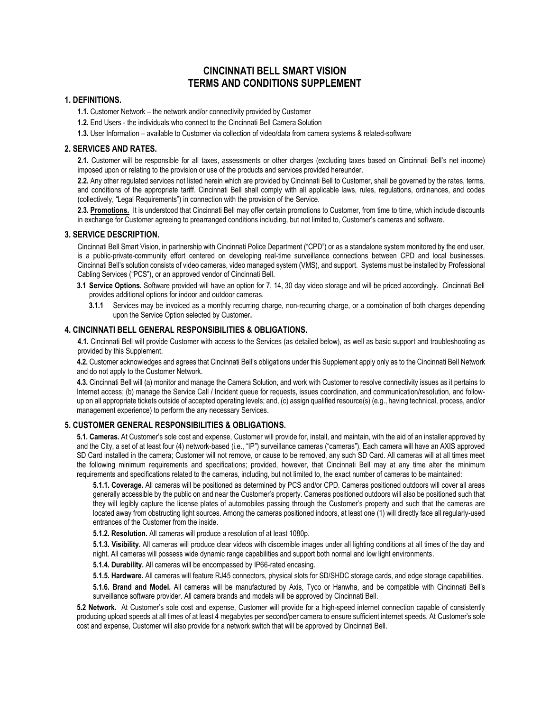# **CINCINNATI BELL SMART VISION TERMS AND CONDITIONS SUPPLEMENT**

## **1. DEFINITIONS.**

**1.1.** Customer Network – the network and/or connectivity provided by Customer

**1.2.** End Users - the individuals who connect to the Cincinnati Bell Camera Solution

**1.3.** User Information – available to Customer via collection of video/data from camera systems & related-software

#### **2. SERVICES AND RATES.**

**2.1.** Customer will be responsible for all taxes, assessments or other charges (excluding taxes based on Cincinnati Bell's net income) imposed upon or relating to the provision or use of the products and services provided hereunder.

**2.2.** Any other regulated services not listed herein which are provided by Cincinnati Bell to Customer, shall be governed by the rates, terms, and conditions of the appropriate tariff. Cincinnati Bell shall comply with all applicable laws, rules, regulations, ordinances, and codes (collectively, "Legal Requirements") in connection with the provision of the Service.

**2.3. Promotions.** It is understood that Cincinnati Bell may offer certain promotions to Customer, from time to time, which include discounts in exchange for Customer agreeing to prearranged conditions including, but not limited to, Customer's cameras and software.

#### **3. SERVICE DESCRIPTION.**

Cincinnati Bell Smart Vision, in partnership with Cincinnati Police Department ("CPD") or as a standalone system monitored by the end user, is a public-private-community effort centered on developing real-time surveillance connections between CPD and local businesses. Cincinnati Bell's solution consists of video cameras, video managed system (VMS), and support. Systems must be installed by Professional Cabling Services ("PCS"), or an approved vendor of Cincinnati Bell.

- **3.1 Service Options.** Software provided will have an option for 7, 14, 30 day video storage and will be priced accordingly. Cincinnati Bell provides additional options for indoor and outdoor cameras.
	- **3.1.1** Services may be invoiced as a monthly recurring charge, non-recurring charge, or a combination of both charges depending upon the Service Option selected by Customer**.**

# **4. CINCINNATI BELL GENERAL RESPONSIBILITIES & OBLIGATIONS.**

**4.1.** Cincinnati Bell will provide Customer with access to the Services (as detailed below), as well as basic support and troubleshooting as provided by this Supplement.

**4.2.** Customer acknowledges and agrees that Cincinnati Bell's obligations under this Supplement apply only as to the Cincinnati Bell Network and do not apply to the Customer Network.

**4.3.** Cincinnati Bell will (a) monitor and manage the Camera Solution, and work with Customer to resolve connectivity issues as it pertains to Internet access; (b) manage the Service Call / Incident queue for requests, issues coordination, and communication/resolution, and followup on all appropriate tickets outside of accepted operating levels; and, (c) assign qualified resource(s) (e.g., having technical, process, and/or management experience) to perform the any necessary Services.

#### **5. CUSTOMER GENERAL RESPONSIBILITIES & OBLIGATIONS.**

**5.1. Cameras.** At Customer's sole cost and expense, Customer will provide for, install, and maintain, with the aid of an installer approved by and the City, a set of at least four (4) network-based (i.e., "IP") surveillance cameras ("cameras"). Each camera will have an AXIS approved SD Card installed in the camera; Customer will not remove, or cause to be removed, any such SD Card. All cameras will at all times meet the following minimum requirements and specifications; provided, however, that Cincinnati Bell may at any time alter the minimum requirements and specifications related to the cameras, including, but not limited to, the exact number of cameras to be maintained:

**5.1.1. Coverage.** All cameras will be positioned as determined by PCS and/or CPD. Cameras positioned outdoors will cover all areas generally accessible by the public on and near the Customer's property. Cameras positioned outdoors will also be positioned such that they will legibly capture the license plates of automobiles passing through the Customer's property and such that the cameras are located away from obstructing light sources. Among the cameras positioned indoors, at least one (1) will directly face all regularly-used entrances of the Customer from the inside.

**5.1.2. Resolution.** All cameras will produce a resolution of at least 1080p.

**5.1.3. Visibility.** All cameras will produce clear videos with discernible images under all lighting conditions at all times of the day and night. All cameras will possess wide dynamic range capabilities and support both normal and low light environments.

**5.1.4. Durability.** All cameras will be encompassed by IP66-rated encasing.

**5.1.5. Hardware.** All cameras will feature RJ45 connectors, physical slots for SD/SHDC storage cards, and edge storage capabilities.

**5.1.6. Brand and Model.** All cameras will be manufactured by Axis, Tyco or Hanwha, and be compatible with Cincinnati Bell's surveillance software provider. All camera brands and models will be approved by Cincinnati Bell.

**5.2 Network.** At Customer's sole cost and expense, Customer will provide for a high-speed internet connection capable of consistently producing upload speeds at all times of at least 4 megabytes per second/per camera to ensure sufficient internet speeds. At Customer's sole cost and expense, Customer will also provide for a network switch that will be approved by Cincinnati Bell.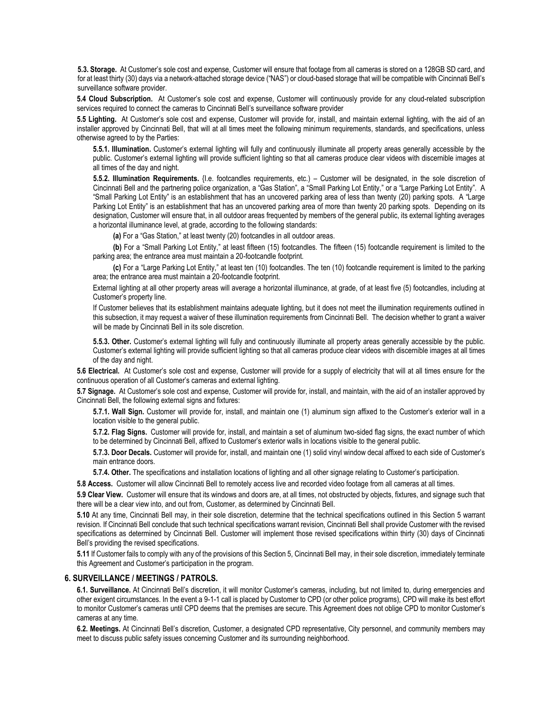**5.3. Storage.** At Customer's sole cost and expense, Customer will ensure that footage from all cameras is stored on a 128GB SD card, and for at least thirty (30) days via a network-attached storage device ("NAS") or cloud-based storage that will be compatible with Cincinnati Bell's surveillance software provider.

**5.4 Cloud Subscription.** At Customer's sole cost and expense, Customer will continuously provide for any cloud-related subscription services required to connect the cameras to Cincinnati Bell's surveillance software provider

**5.5 Lighting.** At Customer's sole cost and expense, Customer will provide for, install, and maintain external lighting, with the aid of an installer approved by Cincinnati Bell, that will at all times meet the following minimum requirements, standards, and specifications, unless otherwise agreed to by the Parties:

**5.5.1. Illumination.** Customer's external lighting will fully and continuously illuminate all property areas generally accessible by the public. Customer's external lighting will provide sufficient lighting so that all cameras produce clear videos with discernible images at all times of the day and night.

**5.5.2. Illumination Requirements.** {I.e. footcandles requirements, etc.) – Customer will be designated, in the sole discretion of Cincinnati Bell and the partnering police organization, a "Gas Station", a "Small Parking Lot Entity," or a "Large Parking Lot Entity". A "Small Parking Lot Entity" is an establishment that has an uncovered parking area of less than twenty (20) parking spots. A "Large Parking Lot Entity" is an establishment that has an uncovered parking area of more than twenty 20 parking spots. Depending on its designation, Customer will ensure that, in all outdoor areas frequented by members of the general public, its external lighting averages a horizontal illuminance level, at grade, according to the following standards:

**(a)** For a "Gas Station," at least twenty (20) footcandles in all outdoor areas.

**(b)** For a "Small Parking Lot Entity," at least fifteen (15) footcandles. The fifteen (15) footcandle requirement is limited to the parking area; the entrance area must maintain a 20-footcandle footprint.

**(c)** For a "Large Parking Lot Entity," at least ten (10) footcandles. The ten (10) footcandle requirement is limited to the parking area; the entrance area must maintain a 20-footcandle footprint.

External lighting at all other property areas will average a horizontal illuminance, at grade, of at least five (5) footcandles, including at Customer's property line.

If Customer believes that its establishment maintains adequate lighting, but it does not meet the illumination requirements outlined in this subsection, it may request a waiver of these illumination requirements from Cincinnati Bell. The decision whether to grant a waiver will be made by Cincinnati Bell in its sole discretion.

**5.5.3. Other.** Customer's external lighting will fully and continuously illuminate all property areas generally accessible by the public. Customer's external lighting will provide sufficient lighting so that all cameras produce clear videos with discernible images at all times of the day and night.

**5.6 Electrical.** At Customer's sole cost and expense, Customer will provide for a supply of electricity that will at all times ensure for the continuous operation of all Customer's cameras and external lighting.

**5.7 Signage.** At Customer's sole cost and expense, Customer will provide for, install, and maintain, with the aid of an installer approved by Cincinnati Bell, the following external signs and fixtures:

**5.7.1. Wall Sign.** Customer will provide for, install, and maintain one (1) aluminum sign affixed to the Customer's exterior wall in a location visible to the general public.

**5.7.2. Flag Signs.** Customer will provide for, install, and maintain a set of aluminum two-sided flag signs, the exact number of which to be determined by Cincinnati Bell, affixed to Customer's exterior walls in locations visible to the general public.

**5.7.3. Door Decals.** Customer will provide for, install, and maintain one (1) solid vinyl window decal affixed to each side of Customer's main entrance doors.

**5.7.4. Other.** The specifications and installation locations of lighting and all other signage relating to Customer's participation.

**5.8 Access.** Customer will allow Cincinnati Bell to remotely access live and recorded video footage from all cameras at all times.

**5.9 Clear View.** Customer will ensure that its windows and doors are, at all times, not obstructed by objects, fixtures, and signage such that there will be a clear view into, and out from, Customer, as determined by Cincinnati Bell.

**5.10** At any time, Cincinnati Bell may, in their sole discretion, determine that the technical specifications outlined in this Section 5 warrant revision. If Cincinnati Bell conclude that such technical specifications warrant revision, Cincinnati Bell shall provide Customer with the revised specifications as determined by Cincinnati Bell. Customer will implement those revised specifications within thirty (30) days of Cincinnati Bell's providing the revised specifications.

**5.11** If Customer fails to comply with any of the provisions of this Section 5, Cincinnati Bell may, in their sole discretion, immediately terminate this Agreement and Customer's participation in the program.

## **6. SURVEILLANCE / MEETINGS / PATROLS.**

**6.1. Surveillance.** At Cincinnati Bell's discretion, it will monitor Customer's cameras, including, but not limited to, during emergencies and other exigent circumstances. In the event a 9-1-1 call is placed by Customer to CPD (or other police programs), CPD will make its best effort to monitor Customer's cameras until CPD deems that the premises are secure. This Agreement does not oblige CPD to monitor Customer's cameras at any time.

**6.2. Meetings.** At Cincinnati Bell's discretion, Customer, a designated CPD representative, City personnel, and community members may meet to discuss public safety issues concerning Customer and its surrounding neighborhood.